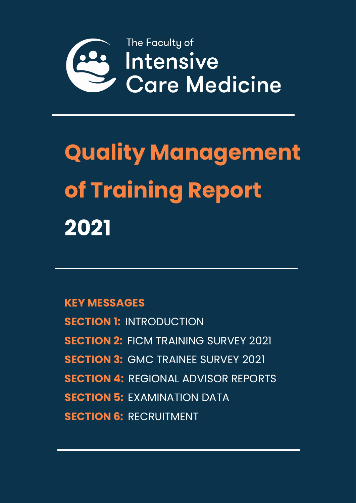

# **Quality Management of Training Report 2021**

**KEY MESSAGES**

**SECTION 1:** INTRODUCTION **SECTION 2:** FICM TRAINING SURVEY 2021 **SECTION 3: GMC TRAINEE SURVEY 2021 SECTION 4:** REGIONAL ADVISOR REPORTS **SECTION 5:** EXAMINATION DATA **SECTION 6: RECRUITMENT**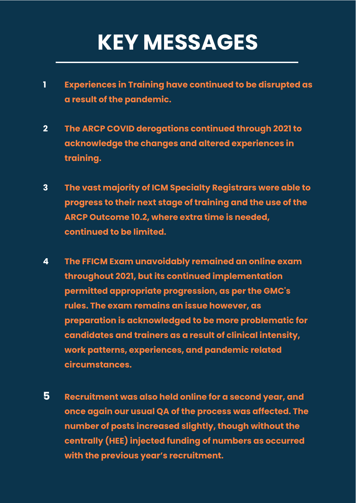# **KEY MESSAGES**

- **1 Experiences in Training have continued to be disrupted as a result of the pandemic.**
- **2 The ARCP COVID derogations continued through 2021 to acknowledge the changes and altered experiences in training.**
- **3 The vast majority of ICM Specialty Registrars were able to progress to their next stage of training and the use of the ARCP Outcome 10.2, where extra time is needed, continued to be limited.**
- **4 The FFICM Exam unavoidably remained an online exam throughout 2021, but its continued implementation permitted appropriate progression, as per the GMC's rules. The exam remains an issue however, as preparation is acknowledged to be more problematic for candidates and trainers as a result of clinical intensity, work patterns, experiences, and pandemic related circumstances.**
- **5 Recruitment was also held online for a second year, and once again our usual QA of the process was affected. The number of posts increased slightly, though without the centrally (HEE) injected funding of numbers as occurred with the previous year's recruitment.**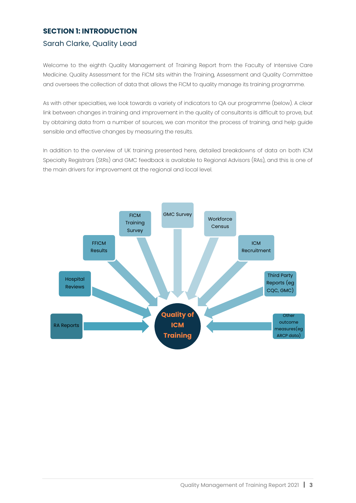#### **SECTION 1: INTRODUCTION**

#### Sarah Clarke, Quality Lead

Welcome to the eighth Quality Management of Training Report from the Faculty of Intensive Care Medicine. Quality Assessment for the FICM sits within the Training, Assessment and Quality Committee and oversees the collection of data that allows the FICM to quality manage its training programme.

As with other specialties, we look towards a variety of indicators to QA our programme (below). A clear link between changes in training and improvement in the quality of consultants is difficult to prove, but by obtaining data from a number of sources, we can monitor the process of training, and help guide sensible and effective changes by measuring the results.

In addition to the overview of UK training presented here, detailed breakdowns of data on both ICM Specialty Registrars (StRs) and GMC feedback is available to Regional Advisors (RAs), and this is one of the main drivers for improvement at the regional and local level.

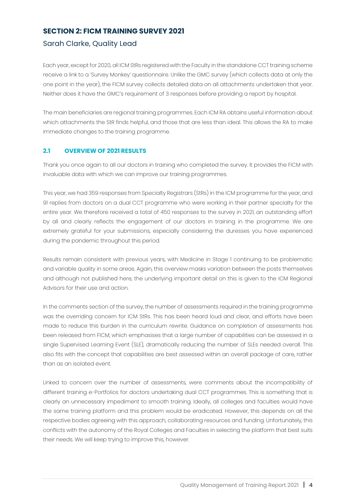#### **SECTION 2: FICM TRAINING SURVEY 2021**

#### Sarah Clarke, Quality Lead

Each year, except for 2020, all ICM StRs registered with the Faculty in the standalone CCT training scheme receive a link to a 'Survey Monkey' questionnaire. Unlike the GMC survey (which collects data at only the one point in the year), the FICM survey collects detailed data on all attachments undertaken that year. Neither does it have the GMC's requirement of 3 responses before providing a report by hospital.

The main beneficiaries are regional training programmes. Each ICM RA obtains useful information about which attachments the StR finds helpful, and those that are less than ideal. This allows the RA to make immediate changes to the training programme.

#### **2.1 OVERVIEW OF 2021 RESULTS**

Thank you once again to all our doctors in training who completed the survey. It provides the FICM with invaluable data with which we can improve our training programmes.

This year, we had 359 responses from Specialty Registrars (StRs) in the ICM programme for the year, and 91 replies from doctors on a dual CCT programme who were working in their partner specialty for the entire year. We therefore received a total of 450 responses to the survey in 2021, an outstanding effort by all and clearly reflects the engagement of our doctors in training in the programme. We are extremely grateful for your submissions, especially considering the duresses you have experienced during the pandemic throughout this period.

Results remain consistent with previous years, with Medicine in Stage 1 continuing to be problematic and variable quality in some areas. Again, this overview masks variation between the posts themselves and although not published here, the underlying important detail on this is given to the ICM Regional Advisors for their use and action.

In the comments section of the survey, the number of assessments required in the training programme was the overriding concern for ICM StRs. This has been heard loud and clear, and efforts have been made to reduce this burden in the curriculum rewrite. Guidance on completion of assessments has been released from FICM, which emphasises that a large number of capabilities can be assessed in a single Supervised Learning Event (SLE), dramatically reducing the number of SLEs needed overall. This also fits with the concept that capabilities are best assessed within an overall package of care, rather than as an isolated event.

Linked to concern over the number of assessments, were comments about the incompatibility of different training e-Portfolios for doctors undertaking dual CCT programmes. This is something that is clearly an unnecessary impediment to smooth training. Ideally, all colleges and faculties would have the same training platform and this problem would be eradicated. However, this depends on all the respective bodies agreeing with this approach, collaborating resources and funding. Unfortunately, this conflicts with the autonomy of the Royal Colleges and Faculties in selecting the platform that best suits their needs. We will keep trying to improve this, however.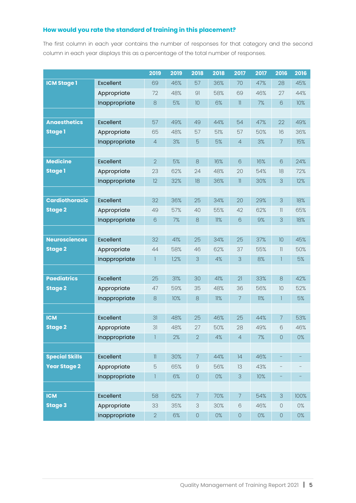#### **How would you rate the standard of training in this placement?**

The first column in each year contains the number of responses for that category and the second column in each year displays this as a percentage of the total number of responses.

|                       |               | 2019                       | 2019  | 2018           | 2018  | 2017                     | 2017  | 2016            | 2016  |
|-----------------------|---------------|----------------------------|-------|----------------|-------|--------------------------|-------|-----------------|-------|
| <b>ICM Stage 1</b>    | Excellent     | 69                         | 46%   | 57             | 36%   | 70                       | 47%   | 28              | 45%   |
|                       | Appropriate   | 72                         | 48%   | 91             | 58%   | 69                       | 46%   | 27              | 44%   |
|                       | Inappropriate | 8                          | 5%    | 10             | 6%    | $\mathbb{I}$             | 7%    | 6               | 10%   |
|                       |               |                            |       |                |       |                          |       |                 |       |
| <b>Anaesthetics</b>   | Excellent     | 57                         | 49%   | 49             | 44%   | 54                       | 47%   | 22              | 49%   |
| <b>Stage 1</b>        | Appropriate   | 65                         | 48%   | 57             | 51%   | 57                       | 50%   | 16              | 36%   |
|                       | Inappropriate | $\overline{4}$             | 3%    | 5              | 5%    | $\overline{4}$           | 3%    | $\overline{7}$  | 15%   |
|                       |               |                            |       |                |       |                          |       |                 |       |
| <b>Medicine</b>       | Excellent     | $\overline{2}$             | 5%    | $\rm 8$        | 16%   | 6                        | 16%   | $6\phantom{1}6$ | 24%   |
| <b>Stage 1</b>        | Appropriate   | 23                         | 62%   | 24             | 48%   | 20                       | 54%   | 18              | 72%   |
|                       | Inappropriate | 12                         | 32%   | 18             | 36%   | $\ensuremath{\text{  }}$ | 30%   | 3               | 12%   |
|                       |               |                            |       |                |       |                          |       |                 |       |
| <b>Cardiothoracic</b> | Excellent     | 32                         | 36%   | 25             | 34%   | 20                       | 29%   | 3               | 18%   |
| <b>Stage 2</b>        | Appropriate   | 49                         | 57%   | 40             | 55%   | 42                       | 62%   | $\mathbb{I}$    | 65%   |
|                       | Inappropriate | 6                          | 7%    | $\rm 8$        | 11%   | $6\,$                    | 9%    | 3               | 18%   |
|                       |               |                            |       |                |       |                          |       |                 |       |
| <b>Neurosciences</b>  | Excellent     | 32                         | 41%   | 25             | 34%   | 25                       | 37%   | 10              | 45%   |
| <b>Stage 2</b>        | Appropriate   | 44                         | 58%   | 46             | 62%   | 37                       | 55%   | $\mathbb{I}$    | 50%   |
|                       | Inappropriate | 1                          | 1.2%  | 3              | 4%    | 3                        | 8%    | 1               | 5%    |
|                       |               |                            |       |                |       |                          |       |                 |       |
| <b>Paediatrics</b>    | Excellent     | 25                         | 31%   | 30             | 41%   | 21                       | 33%   | 8               | 42%   |
| <b>Stage 2</b>        | Appropriate   | 47                         | 59%   | 35             | 48%   | 36                       | 56%   | 10              | 52%   |
|                       | Inappropriate | $\rm 8$                    | 10%   | 8              | 11%   | 7                        | 11%   | 1               | 5%    |
|                       |               |                            |       |                |       |                          |       |                 |       |
| <b>ICM</b>            | Excellent     | 31                         | 48%   | 25             | 46%   | 25                       | 44%   | 7               | 53%   |
| <b>Stage 2</b>        | Appropriate   | 31                         | 48%   | 27             | 50%   | 28                       | 49%   | 6               | 46%   |
|                       | Inappropriate | $\mathbb{I}$               | $2\%$ | $\sqrt{2}$     | $4\%$ | $\overline{4}$           | 7%    | $\bigcirc$      | $0\%$ |
|                       |               |                            |       |                |       |                          |       |                 |       |
| <b>Special Skills</b> | Excellent     | $\ensuremath{\mathsf{11}}$ | 30%   | $\overline{7}$ | 44%   | 4                        | 46%   |                 |       |
| <b>Year Stage 2</b>   | Appropriate   | 5                          | 65%   | $\Theta$       | 56%   | 13                       | 43%   |                 |       |
|                       | Inappropriate | 1                          | $6\%$ | $\bigcirc$     | $0\%$ | 3                        | 10%   |                 |       |
|                       |               |                            |       |                |       |                          |       |                 |       |
| <b>ICM</b>            | Excellent     | 58                         | 62%   | $\overline{7}$ | 70%   | $\overline{7}$           | 54%   | 3               | 100%  |
| <b>Stage 3</b>        | Appropriate   | 33                         | 35%   | 3              | 30%   | $\mathsf{\emph{6}}$      | 46%   | $\bigcirc$      | $0\%$ |
|                       | Inappropriate | $\overline{2}$             | 6%    | $\mathsf O$    | $0\%$ | $\mathsf O$              | $0\%$ | $\hbox{O}$      | $0\%$ |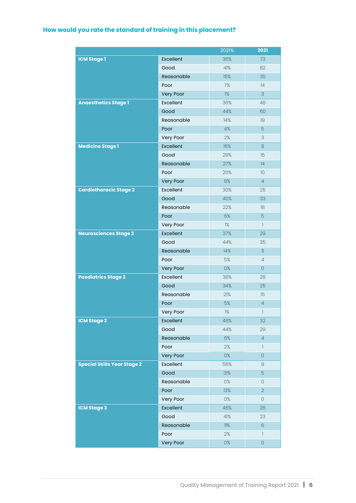#### **How would you rate the standard of training in this placement?**

|                                    |                  | 2021%         | 2021                                  |
|------------------------------------|------------------|---------------|---------------------------------------|
| <b>ICM Stage 1</b>                 | Excellent        | 36%           | 73                                    |
|                                    | Good             | 41%           | 82                                    |
|                                    | Reasonable       | 15%           | 30                                    |
|                                    | Poor             | $7%$          | 4                                     |
|                                    | <b>Very Poor</b> | $\frac{1}{6}$ | 3                                     |
| <b>Anaesthetics Stage 1</b>        | Excellent        | 36%           | 48                                    |
|                                    | Good             | 44%           | 60                                    |
|                                    | Reasonable       | 14%           | 19                                    |
|                                    | Poor             | 4%            | 5                                     |
|                                    | Very Poor        | 2%            | 3                                     |
| <b>Medicine Stage 1</b>            | Excellent        | 16%           | 8                                     |
|                                    | Good             | 29%           | 15                                    |
|                                    | Reasonable       | 27%           | 4                                     |
|                                    | Poor             | 20%           | 10                                    |
|                                    | Very Poor        | 8%            | $\overline{4}$                        |
| <b>Cardiothoracic Stage 2</b>      | Excellent        | 30%           | 25                                    |
|                                    | Good             | 40%           | 33                                    |
|                                    | Reasonable       | 22%           | 18                                    |
|                                    | Poor             | 6%            | 5                                     |
|                                    | Very Poor        | $\frac{1}{6}$ | $\mathbb{I}$                          |
| <b>Neurosciences Stage 2</b>       | Excellent        | 37%           | 29                                    |
|                                    | Good             | 44%           | 35                                    |
|                                    | Reasonable       | 14%           | $\mathbb{I}$                          |
|                                    | Poor             | 5%            | $\overline{4}$                        |
|                                    | Very Poor        | 0%            | $\overline{O}$                        |
| <b>Paediatrics Stage 2</b>         | Excellent        | 38%           | 28                                    |
|                                    | Good             | 34%           | 25                                    |
|                                    | Reasonable       | 21%           | 15                                    |
|                                    | Poor             | 5%            | $\overline{4}$                        |
|                                    | Very Poor        | $\frac{1}{6}$ | $\begin{array}{c} \hline \end{array}$ |
| <b>ICM Stage 2</b>                 | Excellent        | 48%           | 32                                    |
|                                    | Good             | 44%           | 29                                    |
|                                    | Reasonable       | 6%            | $\overline{4}$                        |
|                                    | Poor             | 2%            | $\mathbb{I}$                          |
|                                    | Very Poor        | $0\%$         | $\overline{O}$                        |
| <b>Special Skills Year Stage 2</b> | Excellent        | 56%           | $\Theta$                              |
|                                    | Good             | 31%           | 5                                     |
|                                    | Reasonable       | $0\%$         | 0                                     |
|                                    | Poor             | 13%           | $\overline{2}$                        |
|                                    | Very Poor        | 0%            | 0                                     |
| <b>ICM Stage 3</b>                 | Excellent        | 46%           | 26                                    |
|                                    | Good             | 41%           | 23                                    |
|                                    | Reasonable       | $11\%$        | $6\phantom{.}6$                       |
|                                    | Poor             | 2%            | $\mathbb{I}$                          |
|                                    | Very Poor        | $0\%$         | 0                                     |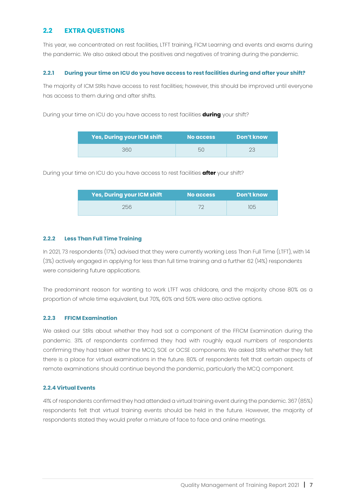#### **2.2 EXTRA QUESTIONS**

This year, we concentrated on rest facilities, LTFT training, FICM Learning and events and exams during the pandemic. We also asked about the positives and negatives of training during the pandemic.

#### **2.2.1 During your time on ICU do you have access to rest facilities during and after your shift?**

The majority of ICM StRs have access to rest facilities; however, this should be improved until everyone has access to them during and after shifts.

During your time on ICU do you have access to rest facilities **during** your shift?

| <b>Yes, During your ICM shift</b> | No access | Don't know |
|-----------------------------------|-----------|------------|
| 360.                              | 50        |            |

During your time on ICU do you have access to rest facilities **after** your shift?

| <b>Yes, During your ICM shift</b> | No access | Don't know |
|-----------------------------------|-----------|------------|
| 256                               |           | 105        |

#### **2.2.2 Less Than Full Time Training**

In 2021, 73 respondents (17%) advised that they were currently working Less Than Full Time (LTFT), with 14 (3%) actively engaged in applying for less than full time training and a further 62 (14%) respondents were considering future applications.

The predominant reason for wanting to work LTFT was childcare, and the majority chose 80% as a proportion of whole time equivalent, but 70%, 60% and 50% were also active options.

#### **2.2.3 FFICM Examination**

We asked our StRs about whether they had sat a component of the FFICM Examination during the pandemic. 31% of respondents confirmed they had with roughly equal numbers of respondents confirming they had taken either the MCQ, SOE or OCSE components. We asked StRs whether they felt there is a place for virtual examinations in the future. 80% of respondents felt that certain aspects of remote examinations should continue beyond the pandemic, particularly the MCQ component.

#### **2.2.4 Virtual Events**

41% of respondents confirmed they had attended a virtual training event during the pandemic. 367 (85%) respondents felt that virtual training events should be held in the future. However, the majority of respondents stated they would prefer a mixture of face to face and online meetings.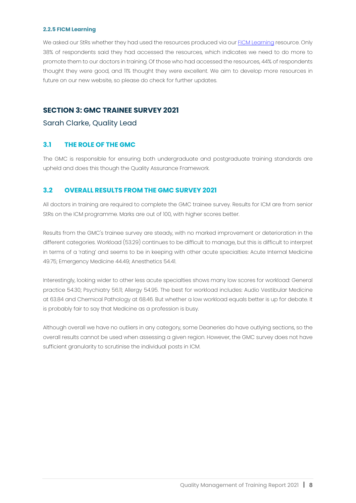#### **2.2.5 FICM Learning**

We asked our StRs whether they had used the resources produced via our [FICM Learning](https://www.ficm.ac.uk/ficmlearning) resource. Only 38% of respondents said they had accessed the resources, which indicates we need to do more to promote them to our doctors in training. Of those who had accessed the resources, 44% of respondents thought they were good, and 11% thought they were excellent. We aim to develop more resources in future on our new website, so please do check for further updates.

#### **SECTION 3: GMC TRAINEE SURVEY 2021**

Sarah Clarke, Quality Lead

#### **3.1 THE ROLE OF THE GMC**

The GMC is responsible for ensuring both undergraduate and postgraduate training standards are upheld and does this though the Quality Assurance Framework.

#### **3.2 OVERALL RESULTS FROM THE GMC SURVEY 2021**

All doctors in training are required to complete the GMC trainee survey. Results for ICM are from senior StRs on the ICM programme. Marks are out of 100, with higher scores better.

Results from the GMC's trainee survey are steady, with no marked improvement or deterioration in the different categories. Workload (53.29) continues to be difficult to manage, but this is difficult to interpret in terms of a 'rating' and seems to be in keeping with other acute specialties: Acute Internal Medicine 49.75; Emergency Medicine 44.49; Anesthetics 54.41.

Interestingly, looking wider to other less acute specialties shows many low scores for workload: General practice 54.30; Psychiatry 56.11; Allergy 54.95. The best for workload includes: Audio Vestibular Medicine at 63.84 and Chemical Pathology at 68.46. But whether a low workload equals better is up for debate. It is probably fair to say that Medicine as a profession is busy.

Although overall we have no outliers in any category, some Deaneries do have outlying sections, so the overall results cannot be used when assessing a given region. However, the GMC survey does not have sufficient granularity to scrutinise the individual posts in ICM.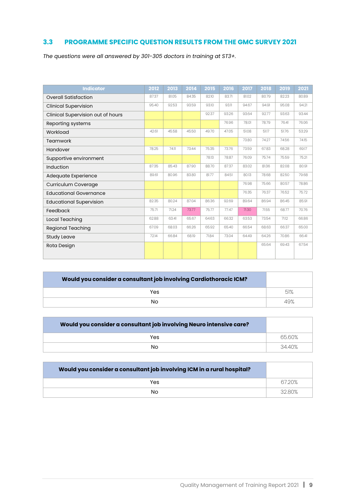#### **3.3 PROGRAMME SPECIFIC QUESTION RESULTS FROM THE GMC SURVEY 2021**

*The questions were all answered by 301-305 doctors in training at ST3+.*

| <b>Indicator</b>                  | 2012  | 2013  | 2014  | 2015  | 2016  | 2017  | 2018  | 2019  | 2021  |
|-----------------------------------|-------|-------|-------|-------|-------|-------|-------|-------|-------|
| <b>Overall Satisfaction</b>       | 87.37 | 81.05 | 84.35 | 82.10 | 83.71 | 81.02 | 80.79 | 82.23 | 80.89 |
| <b>Clinical Supervision</b>       | 95.40 | 92.53 | 93.59 | 93.10 | 93.11 | 94.67 | 94.91 | 95.08 | 94.21 |
| Clinical Supervision out of hours |       |       |       | 92.37 | 93.26 | 93.64 | 92.77 | 93.63 | 93.44 |
| Reporting systems                 |       |       |       |       | 76.96 | 78.01 | 78.79 | 76.41 | 76.06 |
| Workload                          | 42.61 | 45.58 | 45.50 | 49.70 | 47.05 | 51.08 | 51.17 | 51.76 | 53.29 |
| Teamwork                          |       |       |       |       |       | 73.80 | 74.27 | 74.56 | 74.15 |
| Handover                          | 78.25 | 74.11 | 73.44 | 75.35 | 73.76 | 73.59 | 67.83 | 68.28 | 69.17 |
| Supportive environment            |       |       |       | 78.13 | 78.87 | 76.09 | 75.74 | 75.59 | 75.21 |
| Induction                         | 87.35 | 85.43 | 87.90 | 88.70 | 87.37 | 83.02 | 81.36 | 82.08 | 80.91 |
| Adequate Experience               | 89.61 | 80.96 | 83.80 | 81.77 | 84.51 | 80.13 | 78.68 | 82.50 | 79.68 |
| Curriculum Coverage               |       |       |       |       |       | 76.98 | 75.66 | 80.57 | 78.86 |
| <b>Educational Governance</b>     |       |       |       |       |       | 76.35 | 76.37 | 76.52 | 75.72 |
| <b>Educational Supervision</b>    | 82.35 | 80.24 | 87.04 | 86.36 | 92.69 | 89.64 | 86.94 | 86.45 | 85.91 |
| Feedback                          | 75.71 | 71.24 | 73.77 | 75.77 | 77.47 | 71.30 | 71.55 | 68.77 | 70.76 |
| Local Teaching                    | 62.88 | 63.41 | 65.67 | 64.63 | 66.32 | 63.53 | 73.54 | 71.12 | 66.86 |
| <b>Regional Teaching</b>          | 67.09 | 68.03 | 66.26 | 65.92 | 65.40 | 66.54 | 68.63 | 66.37 | 65.00 |
| <b>Study Leave</b>                | 72.14 | 66.84 | 68.19 | 71.84 | 73.04 | 64.49 | 64.26 | 70.86 | 66.41 |
| Rota Design                       |       |       |       |       |       |       | 65.64 | 69.43 | 67.54 |
|                                   |       |       |       |       |       |       |       |       |       |

| Would you consider a consultant job involving Cardiothoracic ICM? |     |
|-------------------------------------------------------------------|-----|
| Yes                                                               | 51% |
| Nο                                                                |     |

| Would you consider a consultant job involving Neuro intensive care? |       |
|---------------------------------------------------------------------|-------|
| Yes                                                                 | 6560% |
| N <sub>O</sub>                                                      | 3440% |

| Would you consider a consultant job involving ICM in a rural hospital? |       |
|------------------------------------------------------------------------|-------|
| Yes                                                                    | 6720% |
| Nο                                                                     | 3280% |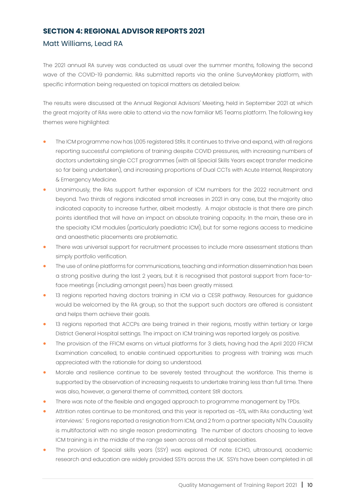#### **SECTION 4: REGIONAL ADVISOR REPORTS 2021**

#### Matt Williams, Lead RA

The 2021 annual RA survey was conducted as usual over the summer months, following the second wave of the COVID-19 pandemic. RAs submitted reports via the online SurveyMonkey platform, with specific information being requested on topical matters as detailed below.

The results were discussed at the Annual Regional Advisors' Meeting, held in September 2021 at which the great majority of RAs were able to attend via the now familiar MS Teams platform. The following key themes were highlighted:

- The ICM programme now has 1,005 registered StRs. It continues to thrive and expand, with all regions reporting successful completions of training despite COVID pressures, with increasing numbers of doctors undertaking single CCT programmes (with all Special Skills Years except transfer medicine so far being undertaken), and increasing proportions of Dual CCTs with Acute Internal, Respiratory & Emergency Medicine.
- Unanimously, the RAs support further expansion of ICM numbers for the 2022 recruitment and beyond. Two thirds of regions indicated small increases in 2021 in any case, but the majority also indicated capacity to increase further, albeit modestly. A major obstacle is that there are pinch points identified that will have an impact on absolute training capacity. In the main, these are in the specialty ICM modules (particularly paediatric ICM), but for some regions access to medicine and anaesthetic placements are problematic.
- There was universal support for recruitment processes to include more assessment stations than simply portfolio verification.
- The use of online platforms for communications, teaching and information dissemination has been a strong positive during the last 2 years, but it is recognised that pastoral support from face-toface meetings (including amongst peers) has been greatly missed.
- 13 regions reported having doctors training in ICM via a CESR pathway. Resources for guidance would be welcomed by the RA group, so that the support such doctors are offered is consistent and helps them achieve their goals.
- 13 regions reported that ACCPs are being trained in their regions, mostly within tertiary or large District General Hospital settings. The impact on ICM training was reported largely as positive.
- The provision of the FFICM exams on virtual platforms for 3 diets, having had the April 2020 FFICM Examination cancelled, to enable continued opportunities to progress with training was much appreciated with the rationale for doing so understood.
- Morale and resilience continue to be severely tested throughout the workforce. This theme is supported by the observation of increasing requests to undertake training less than full time. There was also, however, a general theme of committed, content StR doctors.
- There was note of the flexible and engaged approach to programme management by TPDs.
- Attrition rates continue to be monitored, and this year is reported as ~5%, with RAs conducting 'exit interviews.' 5 regions reported a resignation from ICM, and 2 from a partner specialty NTN. Causality is multifactorial with no single reason predominating. The number of doctors choosing to leave ICM training is in the middle of the range seen across all medical specialties.
- The provision of Special skills years (SSY) was explored. Of note: ECHO, ultrasound, academic research and education are widely provided SSYs across the UK. SSYs have been completed in all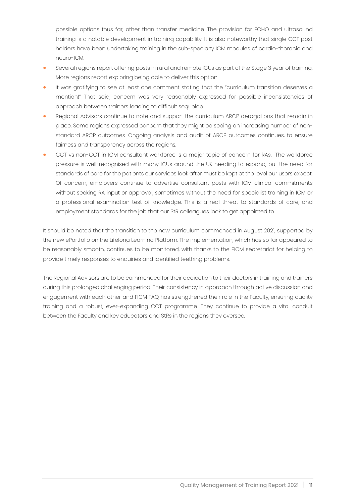possible options thus far, other than transfer medicine. The provision for ECHO and ultrasound training is a notable development in training capability. It is also noteworthy that single CCT post holders have been undertaking training in the sub-specialty ICM modules of cardio-thoracic and neuro-ICM.

- Several regions report offering posts in rural and remote ICUs as part of the Stage 3 year of training. More regions report exploring being able to deliver this option.
- It was gratifying to see at least one comment stating that the "curriculum transition deserves a mention!" That said, concern was very reasonably expressed for possible inconsistencies of approach between trainers leading to difficult sequelae.
- Regional Advisors continue to note and support the curriculum ARCP derogations that remain in place. Some regions expressed concern that they might be seeing an increasing number of nonstandard ARCP outcomes. Ongoing analysis and audit of ARCP outcomes continues, to ensure fairness and transparency across the regions.
- CCT vs non-CCT in ICM consultant workforce is a major topic of concern for RAs. The workforce pressure is well-recognised with many ICUs around the UK needing to expand, but the need for standards of care for the patients our services look after must be kept at the level our users expect. Of concern, employers continue to advertise consultant posts with ICM clinical commitments without seeking RA input or approval, sometimes without the need for specialist training in ICM or a professional examination test of knowledge. This is a real threat to standards of care, and employment standards for the job that our StR colleagues look to get appointed to.

It should be noted that the transition to the new curriculum commenced in August 2021, supported by the new ePortfolio on the Lifelong Learning Platform. The implementation, which has so far appeared to be reasonably smooth, continues to be monitored, with thanks to the FICM secretariat for helping to provide timely responses to enquiries and identified teething problems.

The Regional Advisors are to be commended for their dedication to their doctors in training and trainers during this prolonged challenging period. Their consistency in approach through active discussion and engagement with each other and FICM TAQ has strengthened their role in the Faculty, ensuring quality training and a robust, ever-expanding CCT programme. They continue to provide a vital conduit between the Faculty and key educators and StRs in the regions they oversee.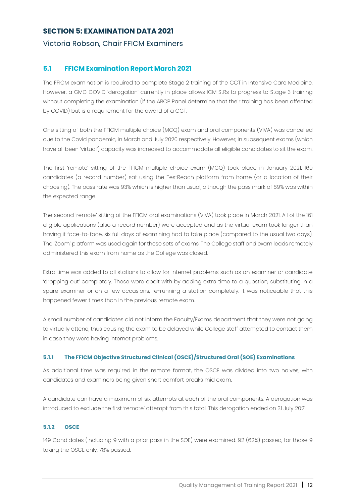#### **SECTION 5: EXAMINATION DATA 2021**

#### Victoria Robson, Chair FFICM Examiners

#### **5.1 FFICM Examination Report March 2021**

The FFICM examination is required to complete Stage 2 training of the CCT in Intensive Care Medicine. However, a GMC COVID 'derogation' currently in place allows ICM StRs to progress to Stage 3 training without completing the examination (if the ARCP Panel determine that their training has been affected by COVID) but is a requirement for the award of a CCT.

One sitting of both the FFICM multiple choice (MCQ) exam and oral components (VIVA) was cancelled due to the Covid pandemic, in March and July 2020 respectively. However, in subsequent exams (which have all been 'virtual') capacity was increased to accommodate all eligible candidates to sit the exam.

The first 'remote' sitting of the FFICM multiple choice exam (MCQ) took place in January 2021. 169 candidates (a record number) sat using the TestReach platform from home (or a location of their choosing). The pass rate was 93% which is higher than usual, although the pass mark of 69% was within the expected range.

The second 'remote' sitting of the FFICM oral examinations (VIVA) took place in March 2021. All of the 161 eligible applications (also a record number) were accepted and as the virtual exam took longer than having it face-to-face, six full days of examining had to take place (compared to the usual two days). The 'Zoom' platform was used again for these sets of exams. The College staff and exam leads remotely administered this exam from home as the College was closed.

Extra time was added to all stations to allow for internet problems such as an examiner or candidate 'dropping out' completely. These were dealt with by adding extra time to a question, substituting in a spare examiner or on a few occasions, re-running a station completely. It was noticeable that this happened fewer times than in the previous remote exam.

A small number of candidates did not inform the Faculty/Exams department that they were not going to virtually attend, thus causing the exam to be delayed while College staff attempted to contact them in case they were having internet problems.

#### **5.1.1 The FFICM Objective Structured Clinical (OSCE)/Structured Oral (SOE) Examinations**

As additional time was required in the remote format, the OSCE was divided into two halves, with candidates and examiners being given short comfort breaks mid exam.

A candidate can have a maximum of six attempts at each of the oral components. A derogation was introduced to exclude the first 'remote' attempt from this total. This derogation ended on 31 July 2021.

#### **5.1.2 OSCE**

149 Candidates (including 9 with a prior pass in the SOE) were examined. 92 (62%) passed, for those 9 taking the OSCE only, 78% passed.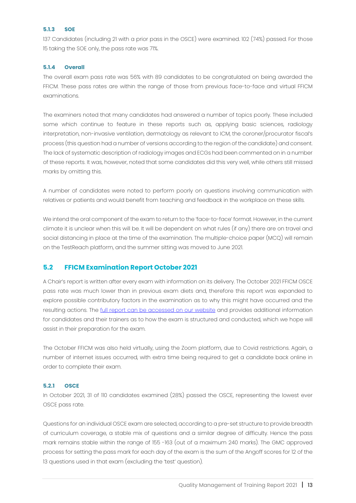#### **5.1.3 SOE**

137 Candidates (including 21 with a prior pass in the OSCE) were examined. 102 (74%) passed. For those 15 taking the SOE only, the pass rate was 71%.

#### **5.1.4 Overall**

The overall exam pass rate was 56% with 89 candidates to be congratulated on being awarded the FFICM. These pass rates are within the range of those from previous face-to-face and virtual FFICM examinations.

The examiners noted that many candidates had answered a number of topics poorly. These included some which continue to feature in these reports such as, applying basic sciences, radiology interpretation, non-invasive ventilation, dermatology as relevant to ICM, the coroner/procurator fiscal's process (this question had a number of versions according to the region of the candidate) and consent. The lack of systematic description of radiology images and ECGs had been commented on in a number of these reports. It was, however, noted that some candidates did this very well, while others still missed marks by omitting this.

A number of candidates were noted to perform poorly on questions involving communication with relatives or patients and would benefit from teaching and feedback in the workplace on these skills.

We intend the oral component of the exam to return to the 'face-to-face' format. However, in the current climate it is unclear when this will be. It will be dependent on what rules (if any) there are on travel and social distancing in place at the time of the examination. The multiple-choice paper (MCQ) will remain on the TestReach platform, and the summer sitting was moved to June 2021.

#### **5.2 FFICM Examination Report October 2021**

A Chair's report is written after every exam with information on its delivery. The October 2021 FFICM OSCE pass rate was much lower than in previous exam diets and, therefore this report was expanded to explore possible contributory factors in the examination as to why this might have occurred and the resulting actions. The [full report can be accessed on our website](https://www.ficm.ac.uk/sites/ficm/files/documents/2022-01/FFICM%20Chair%27s%20Report%20Oct%202021.pdf) and provides additional information for candidates and their trainers as to how the exam is structured and conducted, which we hope will assist in their preparation for the exam.

The October FFICM was also held virtually, using the Zoom platform, due to Covid restrictions. Again, a number of internet issues occurred, with extra time being required to get a candidate back online in order to complete their exam.

#### **5.2.1 OSCE**

In October 2021, 31 of 110 candidates examined (28%) passed the OSCE, representing the lowest ever OSCE pass rate.

Questions for an individual OSCE exam are selected, according to a pre-set structure to provide breadth of curriculum coverage, a stable mix of questions and a similar degree of difficulty. Hence the pass mark remains stable within the range of 155 -163 (out of a maximum 240 marks). The GMC approved process for setting the pass mark for each day of the exam is the sum of the Angoff scores for 12 of the 13 questions used in that exam (excluding the 'test' question).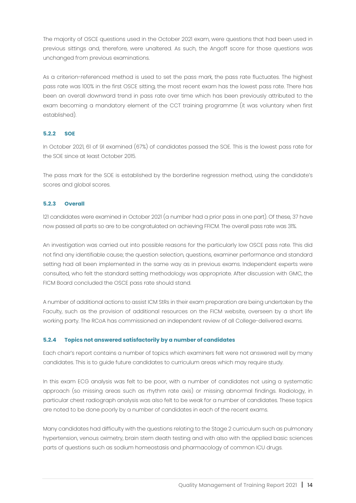The majority of OSCE questions used in the October 2021 exam, were questions that had been used in previous sittings and, therefore, were unaltered. As such, the Angoff score for those questions was unchanged from previous examinations.

As a criterion-referenced method is used to set the pass mark, the pass rate fluctuates. The highest pass rate was 100% in the first OSCE sitting, the most recent exam has the lowest pass rate. There has been an overall downward trend in pass rate over time which has been previously attributed to the exam becoming a mandatory element of the CCT training programme (it was voluntary when first established).

#### **5.2.2 SOE**

In October 2021, 61 of 91 examined (67%) of candidates passed the SOE. This is the lowest pass rate for the SOE since at least October 2015.

The pass mark for the SOE is established by the borderline regression method, using the candidate's scores and global scores.

#### **5.2.3 Overall**

121 candidates were examined in October 2021 (a number had a prior pass in one part). Of these, 37 have now passed all parts so are to be congratulated on achieving FFICM. The overall pass rate was 31%.

An investigation was carried out into possible reasons for the particularly low OSCE pass rate. This did not find any identifiable cause; the question selection, questions, examiner performance and standard setting had all been implemented in the same way as in previous exams. Independent experts were consulted, who felt the standard setting methodology was appropriate. After discussion with GMC, the FICM Board concluded the OSCE pass rate should stand.

A number of additional actions to assist ICM StRs in their exam preparation are being undertaken by the Faculty, such as the provision of additional resources on the FICM website, overseen by a short life working party. The RCoA has commissioned an independent review of all College-delivered exams.

#### **5.2.4 Topics not answered satisfactorily by a number of candidates**

Each chair's report contains a number of topics which examiners felt were not answered well by many candidates. This is to guide future candidates to curriculum areas which may require study.

In this exam ECG analysis was felt to be poor, with a number of candidates not using a systematic approach (so missing areas such as rhythm rate axis) or missing abnormal findings. Radiology, in particular chest radiograph analysis was also felt to be weak for a number of candidates. These topics are noted to be done poorly by a number of candidates in each of the recent exams.

Many candidates had difficulty with the questions relating to the Stage 2 curriculum such as pulmonary hypertension, venous oximetry, brain stem death testing and with also with the applied basic sciences parts of questions such as sodium homeostasis and pharmacology of common ICU drugs.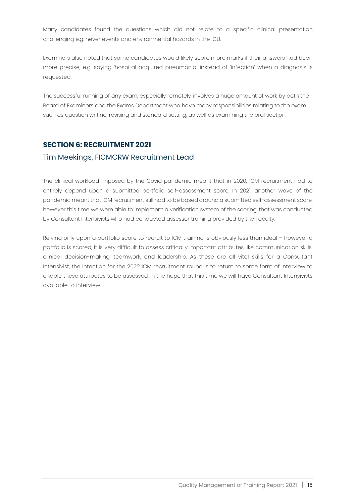Many candidates found the questions which did not relate to a specific clinical presentation challenging e.g. never events and environmental hazards in the ICU.

Examiners also noted that some candidates would likely score more marks if their answers had been more precise, e.g. saying 'hospital acquired pneumonia' instead of 'infection' when a diagnosis is requested.

The successful running of any exam, especially remotely, involves a huge amount of work by both the Board of Examiners and the Exams Department who have many responsibilities relating to the exam such as question writing, revising and standard setting, as well as examining the oral section.

#### **SECTION 6: RECRUITMENT 2021**

#### Tim Meekings, FICMCRW Recruitment Lead

The clinical workload imposed by the Covid pandemic meant that in 2020, ICM recruitment had to entirely depend upon a submitted portfolio self-assessment score. In 2021, another wave of the pandemic meant that ICM recruitment still had to be based around a submitted self-assessment score, however this time we were able to implement a verification system of the scoring, that was conducted by Consultant Intensivists who had conducted assessor training provided by the Faculty.

Relying only upon a portfolio score to recruit to ICM training is obviously less than ideal – however a portfolio is scored, it is very difficult to assess critically important attributes like communication skills, clinical decision-making, teamwork, and leadership. As these are all vital skills for a Consultant Intensivist, the intention for the 2022 ICM recruitment round is to return to some form of interview to enable these attributes to be assessed, in the hope that this time we will have Consultant Intensivists available to interview.